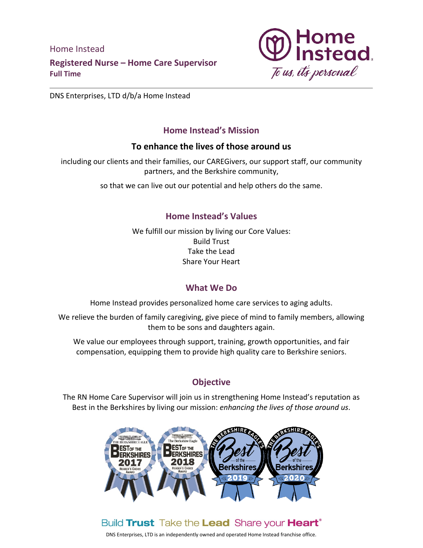Home Instead **Registered Nurse – Home Care Supervisor Full Time**



DNS Enterprises, LTD d/b/a Home Instead

### **Home Instead's Mission**

### **To enhance the lives of those around us**

including our clients and their families, our CAREGivers, our support staff, our community partners, and the Berkshire community,

so that we can live out our potential and help others do the same.

### **Home Instead's Values**

We fulfill our mission by living our Core Values: Build Trust Take the Lead Share Your Heart

## **What We Do**

Home Instead provides personalized home care services to aging adults.

We relieve the burden of family caregiving, give piece of mind to family members, allowing them to be sons and daughters again.

We value our employees through support, training, growth opportunities, and fair compensation, equipping them to provide high quality care to Berkshire seniors.

## **Objective**

The RN Home Care Supervisor will join us in strengthening Home Instead's reputation as Best in the Berkshires by living our mission: *enhancing the lives of those around us*.



## Build Trust Take the Lead Share your Heart<sup>®</sup>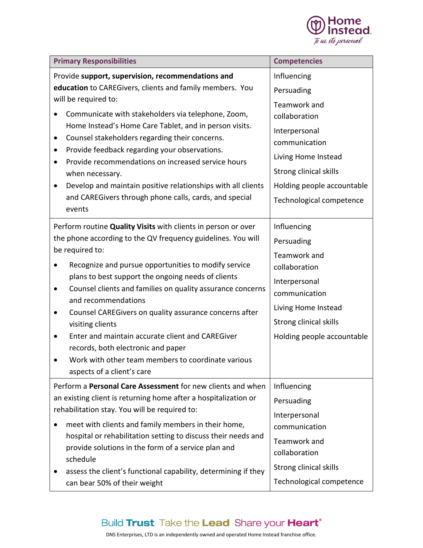

| <b>Primary Responsibilities</b>                                                                                                                                                         | <b>Competencies</b>        |
|-----------------------------------------------------------------------------------------------------------------------------------------------------------------------------------------|----------------------------|
| Provide support, supervision, recommendations and                                                                                                                                       | Influencing                |
| education to CAREGivers, clients and family members. You                                                                                                                                | Persuading                 |
| will be required to:                                                                                                                                                                    | Teamwork and               |
| Communicate with stakeholders via telephone, Zoom,                                                                                                                                      | collaboration              |
| Home Instead's Home Care Tablet, and in person visits.                                                                                                                                  | Interpersonal              |
| Counsel stakeholders regarding their concerns.<br>Provide feedback regarding your observations.                                                                                         | communication              |
| Provide recommendations on increased service hours                                                                                                                                      | Living Home Instead        |
| when necessary.                                                                                                                                                                         | Strong clinical skills     |
| Develop and maintain positive relationships with all clients                                                                                                                            | Holding people accountable |
| and CAREGivers through phone calls, cards, and special                                                                                                                                  | Technological competence   |
| events                                                                                                                                                                                  |                            |
| Perform routine Quality Visits with clients in person or over                                                                                                                           | Influencing                |
| the phone according to the QV frequency guidelines. You will                                                                                                                            | Persuading                 |
| be required to:                                                                                                                                                                         | Teamwork and               |
| Recognize and pursue opportunities to modify service                                                                                                                                    | collaboration              |
| plans to best support the ongoing needs of clients                                                                                                                                      | Interpersonal              |
| Counsel clients and families on quality assurance concerns<br>٠<br>and recommendations                                                                                                  | communication              |
| Counsel CAREGivers on quality assurance concerns after                                                                                                                                  | Living Home Instead        |
| visiting clients                                                                                                                                                                        | Strong clinical skills     |
| Enter and maintain accurate client and CAREGiver                                                                                                                                        | Holding people accountable |
| records, both electronic and paper                                                                                                                                                      |                            |
| Work with other team members to coordinate various                                                                                                                                      |                            |
| aspects of a client's care                                                                                                                                                              |                            |
| Perform a Personal Care Assessment for new clients and when                                                                                                                             | Influencing                |
| an existing client is returning home after a hospitalization or                                                                                                                         | Persuading                 |
| rehabilitation stay. You will be required to:                                                                                                                                           | Interpersonal              |
| meet with clients and family members in their home,<br>hospital or rehabilitation setting to discuss their needs and<br>provide solutions in the form of a service plan and<br>schedule | communication              |
|                                                                                                                                                                                         | Teamwork and               |
|                                                                                                                                                                                         | collaboration              |
| assess the client's functional capability, determining if they                                                                                                                          | Strong clinical skills     |
| can bear 50% of their weight                                                                                                                                                            | Technological competence   |

## Build Trust Take the Lead Share your Heart®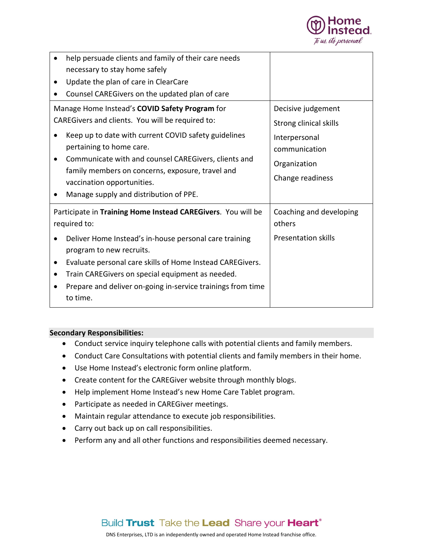

| help persuade clients and family of their care needs         |                            |
|--------------------------------------------------------------|----------------------------|
| necessary to stay home safely                                |                            |
| Update the plan of care in ClearCare                         |                            |
| Counsel CAREGivers on the updated plan of care               |                            |
| Manage Home Instead's COVID Safety Program for               | Decisive judgement         |
| CAREGivers and clients. You will be required to:             | Strong clinical skills     |
| Keep up to date with current COVID safety guidelines         | Interpersonal              |
| pertaining to home care.                                     | communication              |
| Communicate with and counsel CAREGivers, clients and         | Organization               |
| family members on concerns, exposure, travel and             | Change readiness           |
| vaccination opportunities.                                   |                            |
| Manage supply and distribution of PPE.                       |                            |
|                                                              |                            |
| Participate in Training Home Instead CAREGivers. You will be | Coaching and developing    |
| required to:                                                 | others                     |
| Deliver Home Instead's in-house personal care training       | <b>Presentation skills</b> |
| program to new recruits.                                     |                            |
| Evaluate personal care skills of Home Instead CAREGivers.    |                            |
| Train CAREGivers on special equipment as needed.             |                            |
| Prepare and deliver on-going in-service trainings from time  |                            |
| to time.                                                     |                            |

#### **Secondary Responsibilities:**

- Conduct service inquiry telephone calls with potential clients and family members.
- Conduct Care Consultations with potential clients and family members in their home.
- Use Home Instead's electronic form online platform.
- Create content for the CAREGiver website through monthly blogs.
- Help implement Home Instead's new Home Care Tablet program.
- Participate as needed in CAREGiver meetings.
- Maintain regular attendance to execute job responsibilities.
- Carry out back up on call responsibilities.
- Perform any and all other functions and responsibilities deemed necessary.

## Build Trust Take the Lead Share your Heart<sup>®</sup>